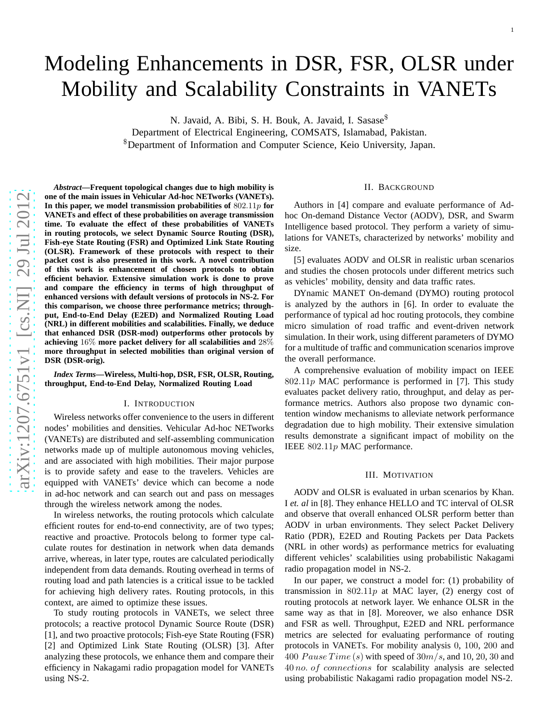# Modeling Enhancements in DSR, FSR, OLSR under Mobility and Scalability Constraints in VANETs

N. Javaid, A. Bibi, S. H. Bouk, A. Javaid, I. Sasase<sup>\$</sup>

Department of Electrical Engineering, COMSATS, Islamabad, Pakistan. \$Department of Information and Computer Science, Keio University, Japan.

*Abstract***—Frequent topological changes due to high mobility is one of the main issues in Vehicular Ad-hoc NETworks (VANETs) . In this paper, we model transmission probabilities of** 802 .11 p **for VANETs and effect of these probabilities on average transmission time. To evaluate the effect of these probabilities of VANET s in routing protocols, we select Dynamic Source Routing (DSR), Fish-eye State Routing (FSR) and Optimized Link State Routing (OLSR). Framework of these protocols with respect to their packet cost is also presented in this work. A novel contribution of this work is enhancement of chosen protocols to obtain efficient behavior. Extensive simulation work is done to prove and compare the efficiency in terms of high throughput of enhanced versions with default versions of protocols in NS-2. For this comparison, we choose three performance metrics; throughput, End-to-End Delay (E2ED) and Normalized Routing Load (NRL) in different mobilities and scalabilities. Finally, we deduce that enhanced DSR (DSR-mod) outperforms other protocols by achieving** 16% **more packet delivery for all scalabilities and** 28% **more throughput in selected mobilities than original version of DSR (DSR-orig).**

*Index Terms***—Wireless, Multi-hop, DSR, FSR, OLSR, Routing, throughput, End-to-End Delay, Normalized Routing Load**

#### I. INTRODUCTION

Wireless networks offer convenience to the users in different nodes' mobilities and densities. Vehicular Ad-hoc NETwork s (VANETs) are distributed and self-assembling communication networks made up of multiple autonomous moving vehicles, and are associated with high mobilities. Their major purpos e is to provide safety and ease to the travelers. Vehicles are equipped with VANETs' device which can become a node in ad-hoc network and can search out and pass on messages through the wireless network among the nodes.

In wireless networks, the routing protocols which calculat e efficient routes for end-to-end connectivity, are of two types; reactive and proactive. Protocols belong to former type cal culate routes for destination in network when data demands arrive, whereas, in later type, routes are calculated periodically independent from data demands. Routing overhead in terms of routing load and path latencies is a critical issue to be tackled for achieving high delivery rates. Routing protocols, in this context, are aimed to optimize these issues.

To study routing protocols in VANETs, we select three protocols; a reactive protocol Dynamic Source Route (DSR) [1], and two proactive protocols; Fish-eye State Routing (FSR) [2] and Optimized Link State Routing (OLSR) [3]. After analyzing these protocols, we enhance them and compare thei r efficiency in Nakagami radio propagation model for VANETs using NS-2.

#### II. BACKGROUND

1

Authors in [4] compare and evaluate performance of Adhoc On-demand Distance Vector (AODV), DSR, and Swarm Intelligence based protocol. They perform a variety of simu lations for VANETs, characterized by networks' mobility an d size.

[5] evaluates AODV and OLSR in realistic urban scenarios and studies the chosen protocols under different metrics such as vehicles' mobility, density and data traffic rates.

DYnamic MANET On-demand (DYMO) routing protocol is analyzed by the authors in [6]. In order to evaluate the performance of typical ad hoc routing protocols, they combine micro simulation of road traffic and event-driven network simulation. In their work, using different parameters of DYMO for a multitude of traffic and communication scenarios improve the overall performance.

A comprehensive evaluation of mobility impact on IEEE  $802.11p$  MAC performance is performed in [7]. This study evaluates packet delivery ratio, throughput, and delay as performance metrics. Authors also propose two dynamic contention window mechanisms to alleviate network performance degradation due to high mobility. Their extensive simulation results demonstrate a significant impact of mobility on the IEEE 802.11p MAC performance.

#### III. MOTIVATION

AODV and OLSR is evaluated in urban scenarios by Khan. I *et. al* in [8]. They enhance HELLO and TC interval of OLSR and observe that overall enhanced OLSR perform better than AODV in urban environments. They select Packet Delivery Ratio (PDR), E2ED and Routing Packets per Data Packets (NRL in other words) as performance metrics for evaluating different vehicles' scalabilities using probabilistic Nakagami radio propagation model in NS-2.

In our paper, we construct a model for: (1) probability of transmission in  $802.11p$  at MAC layer, (2) energy cost of routing protocols at network layer. We enhance OLSR in the same way as that in [8]. Moreover, we also enhance DSR and FSR as well. Throughput, E2ED and NRL performance metrics are selected for evaluating performance of routing protocols in VANETs. For mobility analysis 0 , 100 , 200 and  $400$   $Pause Time(s)$  with speed of  $30m/s$ , and  $10, 20, 30$  and 40 no. of connections for scalability analysis are selected using probabilistic Nakagami radio propagation model NS-2 .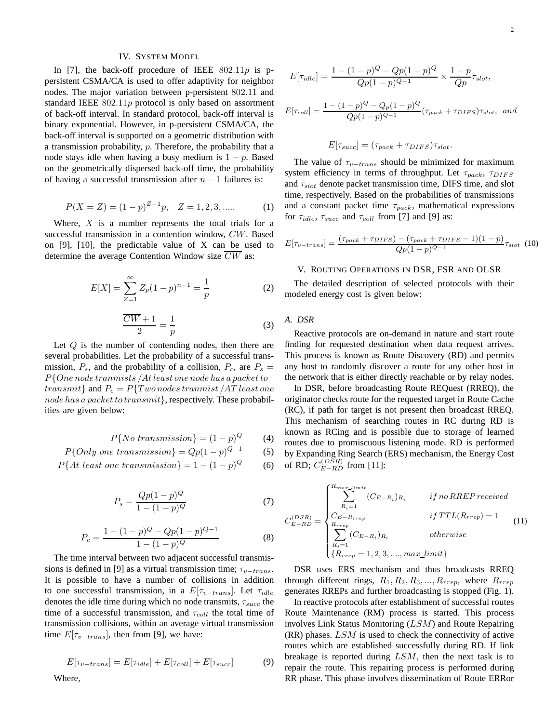## IV. SYSTEM MODEL

In [7], the back-off procedure of IEEE  $802.11p$  is ppersistent CSMA/CA is used to offer adaptivity for neighbor nodes. The major variation between p-persistent 802.11 and standard IEEE 802.11p protocol is only based on assortment of back-off interval. In standard protocol, back-off interval is binary exponential. However, in p-persistent CSMA/CA, the back-off interval is supported on a geometric distribution with a transmission probability, p. Therefore, the probability that a node stays idle when having a busy medium is  $1 - p$ . Based on the geometrically dispersed back-off time, the probability of having a successful transmission after  $n - 1$  failures is:

$$
P(X = Z) = (1 - p)^{Z - 1}p, \quad Z = 1, 2, 3, \dots
$$
 (1)

Where,  $X$  is a number represents the total trials for a successful transmission in a contention window, CW. Based on  $[9]$ ,  $[10]$ , the predictable value of X can be used to determine the average Contention Window size  $\overline{CW}$  as:

$$
E[X] = \sum_{Z=1}^{\infty} Z_p (1-p)^{n-1} = \frac{1}{p}
$$
 (2)

$$
\frac{\overline{CW} + 1}{2} = \frac{1}{p} \tag{3}
$$

Let  $Q$  is the number of contending nodes, then there are several probabilities. Let the probability of a successful transmission,  $P_s$ , and the probability of a collision,  $P_c$ , are  $P_s =$ P{One node tranmists /At least one node has a packet to transmit} and  $P_c = P\{Two\ nodes\ transmit\ /AT\ least\ one$ node has a packet to transmit}, respectively. These probabilities are given below:

$$
P\{No\ transmission\} = (1 - p)^{Q} \tag{4}
$$

$$
P\{Only\ one\ transmission\} = Qp(1-p)^{Q-1} \tag{5}
$$

$$
P\{At least one transmission\} = 1 - (1 - p)^{Q}
$$
 (6)

$$
P_s = \frac{Qp(1-p)^Q}{1 - (1-p)^Q}
$$
 (7)

$$
P_c = \frac{1 - (1 - p)^Q - Qp(1 - p)^{Q - 1}}{1 - (1 - p)^Q} \tag{8}
$$

The time interval between two adjacent successful transmissions is defined in [9] as a virtual transmission time;  $\tau_{v-trans}$ . It is possible to have a number of collisions in addition to one successful transmission, in a  $E[\tau_{v-trans}]$ . Let  $\tau_{idle}$ denotes the idle time during which no node transmits,  $\tau_{succ}$  the time of a successful transmission, and  $\tau_{coll}$  the total time of transmission collisions, within an average virtual transmission time  $E[\tau_{v-trans}]$ , then from [9], we have:

$$
E[\tau_{v-trans}] = E[\tau_{idle}] + E[\tau_{coll}] + E[\tau_{succ}] \tag{9}
$$

 $E[\tau_{idle}] = \frac{1 - (1 - p)^Q - Qp(1 - p)^Q}{Q_p(1 - p)Q - 1}$  $\frac{(p-p)^Q - Qp(1-p)^Q}{Qp(1-p)^{Q-1}} \times \frac{1-p}{Qp}\tau_{slot},$ 

$$
E[\tau_{coll}] = \frac{1 - (1 - p)^{Q} - Q_{p}(1 - p)^{Q}}{Qp(1 - p)^{Q - 1}}(\tau_{pack} + \tau_{DIFS})\tau_{slot}, \text{ and}
$$

$$
E[\tau_{succ}] = (\tau_{pack} + \tau_{DIFS})\tau_{slot}.
$$

The value of  $\tau_{v-trans}$  should be minimized for maximum system efficiency in terms of throughput. Let  $\tau_{pack}$ ,  $\tau_{DIFS}$ and  $\tau_{slot}$  denote packet transmission time, DIFS time, and slot time, respectively. Based on the probabilities of transmissions and a constant packet time  $\tau_{pack}$ , mathematical expressions for  $\tau_{idle}, \tau_{succ}$  and  $\tau_{coll}$  from [7] and [9] as:

$$
E[\tau_{v-trans}] = \frac{(\tau_{pack} + \tau_{DIFS}) - (\tau_{pack} + \tau_{DIFS} - 1)(1 - p)}{Qp(1 - p)^{Q - 1}} \tau_{slot} \tag{10}
$$

#### V. ROUTING OPERATIONS IN DSR, FSR AND OLSR

The detailed description of selected protocols with their modeled energy cost is given below:

## *A. DSR*

Reactive protocols are on-demand in nature and start route finding for requested destination when data request arrives. This process is known as Route Discovery (RD) and permits any host to randomly discover a route for any other host in the network that is either directly reachable or by relay nodes.

(5) by Expanding Ring Search (ERS) mechanism, the Energy Cost In DSR, before broadcasting Route REQuest (RREQ), the originator checks route for the requested target in Route Cache (RC), if path for target is not present then broadcast RREQ. This mechanism of searching routes in RC during RD is known as RCing and is possible due to storage of learned routes due to promiscuous listening mode. RD is performed of RD;  $C_{E-RD}^{(DSR)}$  from [11]:

$$
C_{E-RD}^{(DSR)} = \begin{cases} R_{max\_limit} & \text{if no RREF received} \\ R_{i=1} & \text{if TTL}(R_{rrep}) = 1 \\ R_{rrep} & \text{if TTL}(R_{rrep}) = 1 \\ \sum_{R_{i=1}}^{R_{rrep}} (C_{E-R_{i}})_{R_{i}} & \text{otherwise} \\ \{R_{rrep} = 1, 2, 3, \dots, \max\_limit\} \end{cases} \tag{11}
$$

DSR uses ERS mechanism and thus broadcasts RREQ through different rings,  $R_1, R_2, R_3, ..., R_{rrep}$ , where  $R_{rrep}$ generates RREPs and further broadcasting is stopped (Fig. 1).

In reactive protocols after establishment of successful routes Route Maintenance (RM) process is started. This process involves Link Status Monitoring (LSM) and Route Repairing  $(RR)$  phases.  $LSM$  is used to check the connectivity of active routes which are established successfully during RD. If link breakage is reported during  $LSM$ , then the next task is to repair the route. This repairing process is performed during RR phase. This phase involves dissemination of Route ERRor

Where,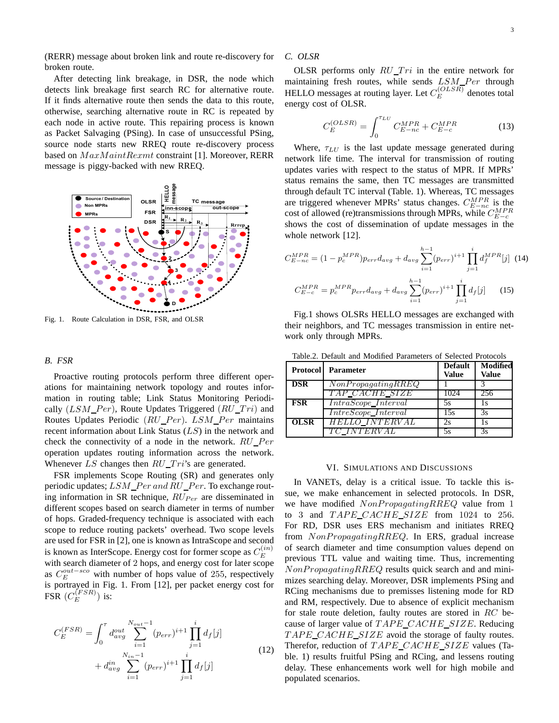(RERR) message about broken link and route re-discovery for broken route.

After detecting link breakage, in DSR, the node which detects link breakage first search RC for alternative route. If it finds alternative route then sends the data to this route, otherwise, searching alternative route in RC is repeated by each node in active route. This repairing process is known as Packet Salvaging (PSing). In case of unsuccessful PSing, source node starts new RREQ route re-discovery process based on  $MaxMainRermt$  constraint [1]. Moreover, RERR message is piggy-backed with new RREQ.



Fig. 1. Route Calculation in DSR, FSR, and OLSR

#### *B. FSR*

Proactive routing protocols perform three different operations for maintaining network topology and routes information in routing table; Link Status Monitoring Periodically  $(LSM\_Per)$ , Route Updates Triggered  $(RU\_Tri)$  and Routes Updates Periodic  $(RU_P^P e r)$ .  $LSM_P^P e r$  maintains recent information about Link Status  $(LS)$  in the network and check the connectivity of a node in the network.  $RU\_Per$ operation updates routing information across the network. Whenever  $LS$  changes then  $RU\_Tri$ 's are generated.

FSR implements Scope Routing (SR) and generates only periodic updates; LSM\_Per and RU\_Per. To exchange routing information in SR technique,  $RU_{Per}$  are disseminated in different scopes based on search diameter in terms of number of hops. Graded-frequency technique is associated with each scope to reduce routing packets' overhead. Two scope levels are used for FSR in [2], one is known as IntraScope and second is known as InterScope. Energy cost for former scope as  $C_E^{(in)}$ with search diameter of 2 hops, and energy cost for later scope as  $C_E^{out-sco}$  with number of hops value of 255, respectively is portrayed in Fig. 1. From [12], per packet energy cost for FSR  $(C_E^{(FSR)})$  is:

$$
C_{E}^{(FSR)} = \int_{0}^{\tau} d_{avg}^{out} \sum_{i=1}^{N_{out}-1} (p_{err})^{i+1} \prod_{j=1}^{i} d_{f}[j] + d_{avg}^{in} \sum_{i=1}^{N_{in}-1} (p_{err})^{i+1} \prod_{j=1}^{i} d_{f}[j]
$$
\n(12)

## *C. OLSR*

 $\overline{c}$ 

OLSR performs only  $RU\_Tri$  in the entire network for maintaining fresh routes, while sends  $LSM_Per$  through HELLO messages at routing layer. Let  $C_E^{(OLSR)}$  denotes total energy cost of OLSR.

$$
C_{E}^{(OLSR)} = \int_{0}^{\tau_{LU}} C_{E-nc}^{MPR} + C_{E-c}^{MPR}
$$
 (13)

Where,  $\tau_{LU}$  is the last update message generated during network life time. The interval for transmission of routing updates varies with respect to the status of MPR. If MPRs' status remains the same, then TC messages are transmitted through default TC interval (Table. 1). Whereas, TC messages are triggered whenever MPRs' status changes.  $C_{E-nc}^{MPR}$  is the cost of allowed (re)transmissions through MPRs, while  $C_{E-c}^{MPR}$ shows the cost of dissemination of update messages in the whole network [12].

$$
C_{E-nc}^{MPR} = (1 - p_c^{MPR})p_{err}d_{avg} + d_{avg} \sum_{i=1}^{h-1} (p_{err})^{i+1} \prod_{j=1}^{i} d_f^{MPR}[j] \tag{14}
$$

$$
C_{E-c}^{MPR} = p_c^{MPR}p_{err}d_{avg} + d_{avg} \sum_{i=1}^{h-1} (p_{err})^{i+1} \prod_{j=1}^{i} d_f[j] \tag{15}
$$

Fig.1 shows OLSRs HELLO messages are exchanged with their neighbors, and TC messages transmission in entire network only through MPRs.

|             | <b>Protocol   Parameter</b> | <b>Default</b><br><b>Value</b> | <b>Modified</b><br><b>Value</b> |
|-------------|-----------------------------|--------------------------------|---------------------------------|
| <b>DSR</b>  | NonPropagating RREQ         |                                |                                 |
|             | TAP_CACHE_SIZE              | 1024                           | 256                             |
| <b>FSR</b>  | $IntraScope\_Interval$      | 5s                             | Ιs                              |
|             | <i>IntreScope_Interval</i>  | 15s                            | 3s                              |
| <b>OLSR</b> | HELLO_INTERVAL              | 2s                             | Ιs                              |
|             | TC INTERVAL                 | 5s                             | 3s                              |

Table.2. Default and Modified Parameters of Selected Protocols

#### VI. SIMULATIONS AND DISCUSSIONS

In VANETs, delay is a critical issue. To tackle this issue, we make enhancement in selected protocols. In DSR, we have modified  $NonPropagating RREQ$  value from 1 to 3 and  $TAPE\_CACHE\_SIZE$  from 1024 to 256. For RD, DSR uses ERS mechanism and initiates RREQ from  $NonPropagating RREQ$ . In ERS, gradual increase of search diameter and time consumption values depend on previous TTL value and waiting time. Thus, incrementing NonPropagatingRREQ results quick search and and minimizes searching delay. Moreover, DSR implements PSing and RCing mechanisms due to premisses listening mode for RD and RM, respectively. Due to absence of explicit mechanism for stale route deletion, faulty routes are stored in  $RC$  because of larger value of  $TAPE\_CACHE\_SIZE$ . Reducing  $TAPE\_CACHE\_SIZE$  avoid the storage of faulty routes. Therefor, reduction of  $TAPE\_CACHE\_SIZE$  values (Table. 1) results fruitful PSing and RCing, and lessens routing delay. These enhancements work well for high mobile and populated scenarios.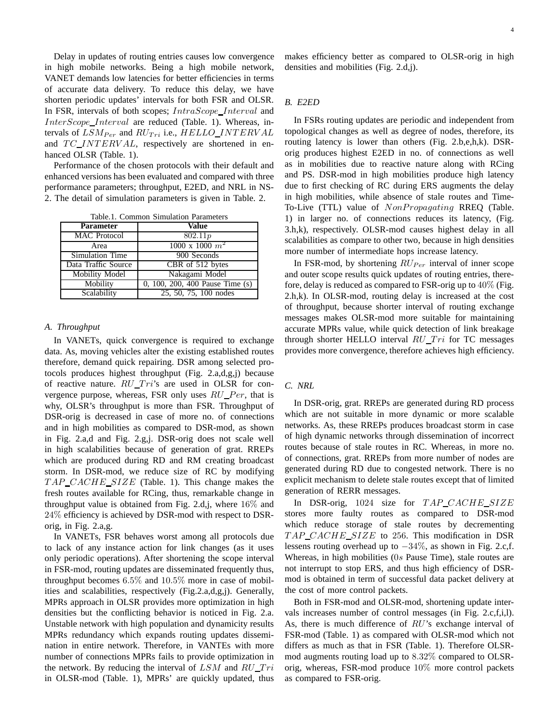Delay in updates of routing entries causes low convergence in high mobile networks. Being a high mobile network, VANET demands low latencies for better efficiencies in terms of accurate data delivery. To reduce this delay, we have shorten periodic updates' intervals for both FSR and OLSR. In FSR, intervals of both scopes; IntraScope\_Interval and InterScope\_Interval are reduced (Table. 1). Whereas, intervals of  $LSM_{Per}$  and  $RU_{Tri}$  i.e.,  $HELLO$ \_INTERVAL and  $TC\_INTERVAL$ , respectively are shortened in enhanced OLSR (Table. 1).

Performance of the chosen protocols with their default and enhanced versions has been evaluated and compared with three performance parameters; throughput, E2ED, and NRL in NS-2. The detail of simulation parameters is given in Table. 2.

Table.1. Common Simulation Parameters

| Parameter           | Value                           |  |  |
|---------------------|---------------------------------|--|--|
| <b>MAC</b> Protocol | 802.11p                         |  |  |
| Area                | $1000 \times 1000 \ m^2$        |  |  |
| Simulation Time     | 900 Seconds                     |  |  |
| Data Traffic Source | CBR of 512 bytes                |  |  |
| Mobility Model      | Nakagami Model                  |  |  |
| <b>Mobility</b>     | 0, 100, 200, 400 Pause Time (s) |  |  |
| Scalability         | 25, 50, 75, 100 nodes           |  |  |

#### *A. Throughput*

In VANETs, quick convergence is required to exchange data. As, moving vehicles alter the existing established routes therefore, demand quick repairing. DSR among selected protocols produces highest throughput (Fig. 2.a,d,g,j) because of reactive nature.  $RU\_Tri$ 's are used in OLSR for convergence purpose, whereas, FSR only uses  $RU\_Per$ , that is why, OLSR's throughput is more than FSR. Throughput of DSR-orig is decreased in case of more no. of connections and in high mobilities as compared to DSR-mod, as shown in Fig. 2.a,d and Fig. 2.g,j. DSR-orig does not scale well in high scalabilities because of generation of grat. RREPs which are produced during RD and RM creating broadcast storm. In DSR-mod, we reduce size of RC by modifying  $TAP\_CACHE\_SIZE$  (Table. 1). This change makes the fresh routes available for RCing, thus, remarkable change in throughput value is obtained from Fig. 2.d,j, where 16% and 24% efficiency is achieved by DSR-mod with respect to DSRorig, in Fig. 2.a,g.

In VANETs, FSR behaves worst among all protocols due to lack of any instance action for link changes (as it uses only periodic operations). After shortening the scope interval in FSR-mod, routing updates are disseminated frequently thus, throughput becomes  $6.5\%$  and  $10.5\%$  more in case of mobilities and scalabilities, respectively (Fig.2.a,d,g,j). Generally, MPRs approach in OLSR provides more optimization in high densities but the conflicting behavior is noticed in Fig. 2.a. Unstable network with high population and dynamicity results MPRs redundancy which expands routing updates dissemination in entire network. Therefore, in VANTEs with more number of connections MPRs fails to provide optimization in the network. By reducing the interval of  $LSM$  and  $RU\_Tri$ in OLSR-mod (Table. 1), MPRs' are quickly updated, thus makes efficiency better as compared to OLSR-orig in high densities and mobilities (Fig. 2.d,j).

## *B. E2ED*

In FSRs routing updates are periodic and independent from topological changes as well as degree of nodes, therefore, its routing latency is lower than others (Fig. 2.b,e,h,k). DSRorig produces highest E2ED in no. of connections as well as in mobilities due to reactive nature along with RCing and PS. DSR-mod in high mobilities produce high latency due to first checking of RC during ERS augments the delay in high mobilities, while absence of stale routes and Time-To-Live (TTL) value of  $NonPropagating RREQ$  (Table. 1) in larger no. of connections reduces its latency, (Fig. 3.h,k), respectively. OLSR-mod causes highest delay in all scalabilities as compare to other two, because in high densities more number of intermediate hops increase latency.

In FSR-mod, by shortening  $RU_{Per}$  interval of inner scope and outer scope results quick updates of routing entries, therefore, delay is reduced as compared to FSR-orig up to  $40\%$  (Fig. 2.h,k). In OLSR-mod, routing delay is increased at the cost of throughput, because shorter interval of routing exchange messages makes OLSR-mod more suitable for maintaining accurate MPRs value, while quick detection of link breakage through shorter HELLO interval  $RU$   $Tri$  for TC messages provides more convergence, therefore achieves high efficiency.

#### *C. NRL*

In DSR-orig, grat. RREPs are generated during RD process which are not suitable in more dynamic or more scalable networks. As, these RREPs produces broadcast storm in case of high dynamic networks through dissemination of incorrect routes because of stale routes in RC. Whereas, in more no. of connections, grat. RREPs from more number of nodes are generated during RD due to congested network. There is no explicit mechanism to delete stale routes except that of limited generation of RERR messages.

In DSR-orig,  $1024$  size for  $TAP\_CACHE\_SIZE$ stores more faulty routes as compared to DSR-mod which reduce storage of stale routes by decrementing  $TAP\_CACHE\_SIZE$  to 256. This modification in DSR lessens routing overhead up to  $-34\%$ , as shown in Fig. 2.c,f. Whereas, in high mobilities (0s Pause Time), stale routes are not interrupt to stop ERS, and thus high efficiency of DSRmod is obtained in term of successful data packet delivery at the cost of more control packets.

Both in FSR-mod and OLSR-mod, shortening update intervals increases number of control messages (in Fig. 2.c,f,i,l). As, there is much difference of  $RU$ 's exchange interval of FSR-mod (Table. 1) as compared with OLSR-mod which not differs as much as that in FSR (Table. 1). Therefore OLSRmod augments routing load up to 8.32% compared to OLSRorig, whereas, FSR-mod produce 10% more control packets as compared to FSR-orig.